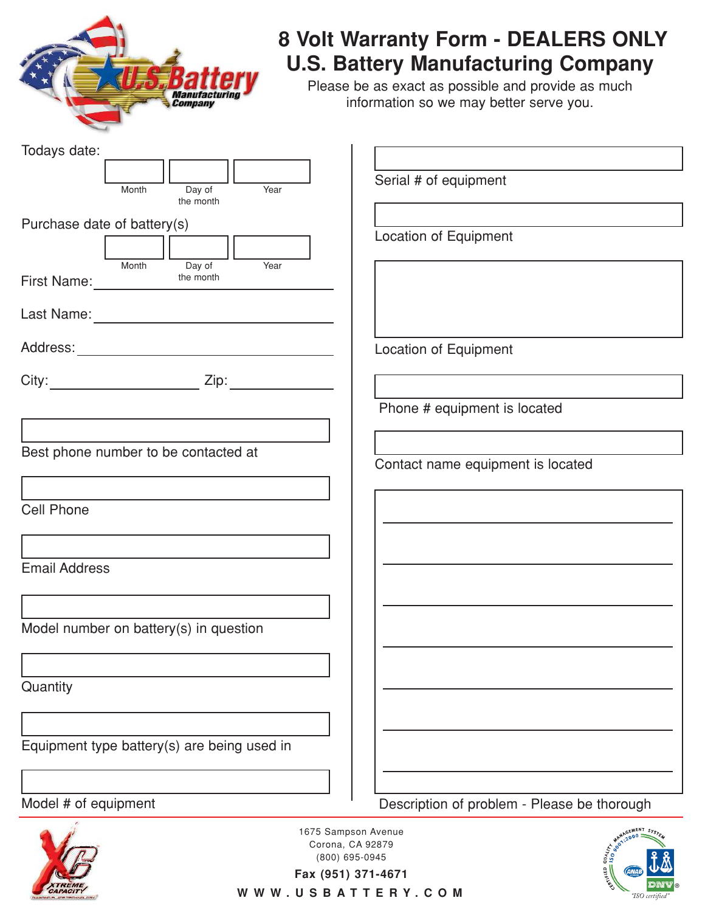

## **8 Volt Warranty Form - DEALERS ONLY U.S. Battery Manufacturing Company**

Please be as exact as possible and provide as much information so we may better serve you.

| Todays date:                                             |                                                                    |
|----------------------------------------------------------|--------------------------------------------------------------------|
|                                                          |                                                                    |
| Year<br>Day of<br>Month<br>the month                     | Serial # of equipment                                              |
|                                                          |                                                                    |
| Purchase date of battery(s)                              | Location of Equipment                                              |
|                                                          |                                                                    |
| Month<br>Day of<br>Year<br>the month<br>First Name: 1997 |                                                                    |
|                                                          |                                                                    |
|                                                          | <b>Location of Equipment</b>                                       |
|                                                          |                                                                    |
|                                                          | Phone # equipment is located                                       |
|                                                          |                                                                    |
| Best phone number to be contacted at                     |                                                                    |
|                                                          | Contact name equipment is located                                  |
|                                                          |                                                                    |
| <b>Cell Phone</b>                                        |                                                                    |
|                                                          |                                                                    |
| <b>Email Address</b>                                     |                                                                    |
|                                                          |                                                                    |
|                                                          |                                                                    |
| Model number on battery(s) in question                   |                                                                    |
|                                                          |                                                                    |
|                                                          |                                                                    |
| Quantity                                                 |                                                                    |
|                                                          |                                                                    |
|                                                          |                                                                    |
| Equipment type battery(s) are being used in              |                                                                    |
|                                                          |                                                                    |
|                                                          |                                                                    |
| Model # of equipment                                     | Description of problem - Please be thorough                        |
|                                                          | MANAGEMENT System<br>1675 Sampson Avenue<br>$+\frac{1}{9001:2000}$ |
|                                                          | Corona, CA 92879<br><b>QUALITY</b><br>(800) 695-0945               |



**Fax (951) 371-4671**

WWW.USBATTERY.COM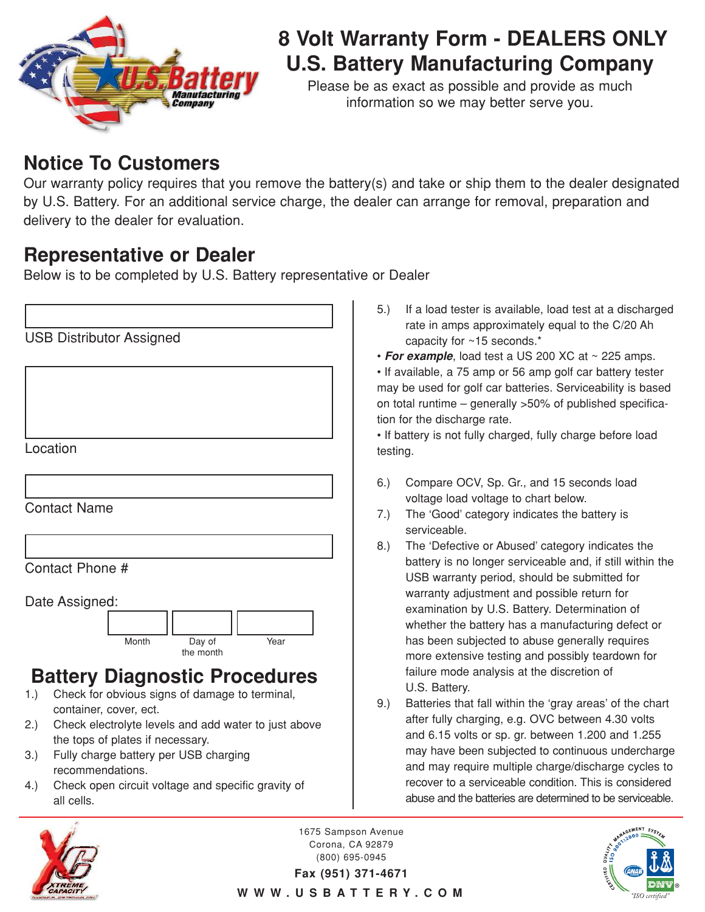

# **8 Volt Warranty Form - DEALERS ONLY U.S. Battery Manufacturing Company**

Please be as exact as possible and provide as much information so we may better serve you.

### **Notice To Customers**

Our warranty policy requires that you remove the battery(s) and take or ship them to the dealer designated by U.S. Battery. For an additional service charge, the dealer can arrange for removal, preparation and delivery to the dealer for evaluation.

### **Representative or Dealer**

Below is to be completed by U.S. Battery representative or Dealer

|     | <b>USB Distributor Assigned</b>                                                               |  |
|-----|-----------------------------------------------------------------------------------------------|--|
|     |                                                                                               |  |
|     |                                                                                               |  |
|     |                                                                                               |  |
|     | Location                                                                                      |  |
|     |                                                                                               |  |
|     |                                                                                               |  |
|     | <b>Contact Name</b>                                                                           |  |
|     |                                                                                               |  |
|     | Contact Phone #                                                                               |  |
|     | Date Assigned:                                                                                |  |
|     |                                                                                               |  |
|     | Month<br>Day of<br>Year<br>the month                                                          |  |
|     | <b>Battery Diagnostic Procedures</b>                                                          |  |
| 1.) | Check for obvious signs of damage to terminal,                                                |  |
| 2.) | container, cover, ect.<br>Check electrolyte levels and add water to just above                |  |
| 3.) | the tops of plates if necessary.<br>Fully charge battery per USB charging<br>recommendations. |  |

4.) Check open circuit voltage and specific gravity of all cells.

- 5.) If a load tester is available, load test at a discharged rate in amps approximately equal to the C/20 Ah capacity for ~15 seconds.\*
- **For example**, load test a US 200 XC at ~ 225 amps.

• If available, a 75 amp or 56 amp golf car battery tester may be used for golf car batteries. Serviceability is based on total runtime – generally >50% of published specification for the discharge rate.

• If battery is not fully charged, fully charge before load testing.

- 6.) Compare OCV, Sp. Gr., and 15 seconds load voltage load voltage to chart below.
- 7.) The 'Good' category indicates the battery is serviceable.
- 8.) The 'Defective or Abused' category indicates the battery is no longer serviceable and, if still within the USB warranty period, should be submitted for warranty adjustment and possible return for examination by U.S. Battery. Determination of whether the battery has a manufacturing defect or has been subjected to abuse generally requires more extensive testing and possibly teardown for failure mode analysis at the discretion of U.S. Battery.
- 9.) Batteries that fall within the 'gray areas' of the chart after fully charging, e.g. OVC between 4.30 volts and 6.15 volts or sp. gr. between 1.200 and 1.255 may have been subjected to continuous undercharge and may require multiple charge/discharge cycles to recover to a serviceable condition. This is considered abuse and the batteries are determined to be serviceable.



1675 Sampson Avenue Corona, CA 92879 (800) 695-0945

**®**

**Fax (951) 371-4671** WWW.USBATTERY.COM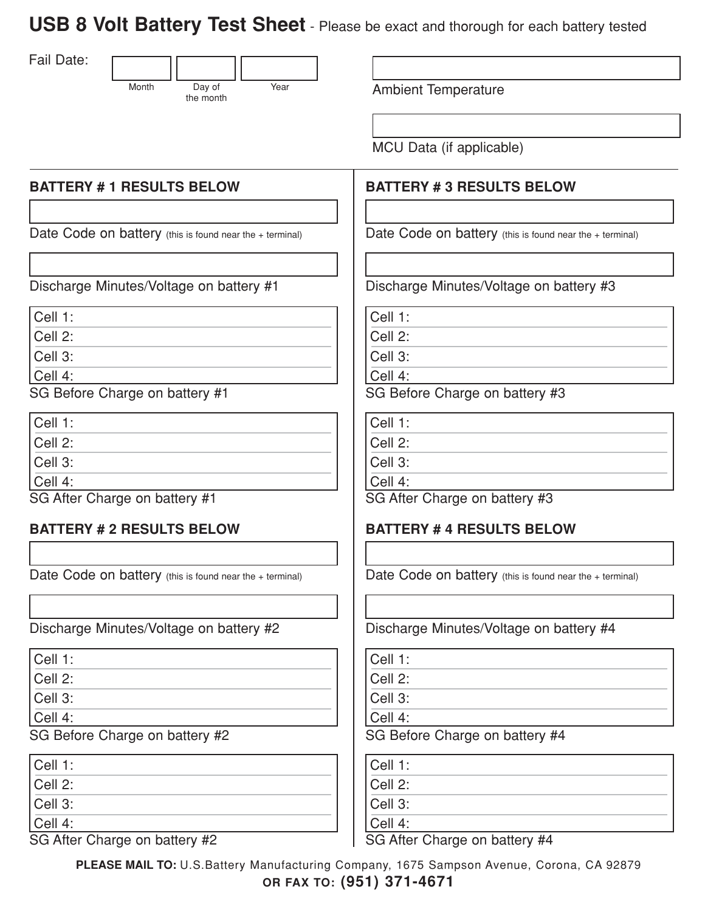**USB 8 Volt Battery Test Sheet** - Please be exact and thorough for each battery tested

Fail Date:



Year **Ambient Temperature** 

MCU Data (if applicable)

#### **BATTERY # 3 RESULTS BELOW**

Date Code on battery (this is found near the + terminal)

Discharge Minutes/Voltage on battery #3

Cell 1:

Cell 2:

Cell 3:

Cell 4:

SG Before Charge on battery #3

Cell 1:

Cell 2:

Cell 3:

Cell 4:

SG After Charge on battery #3

#### **BATTERY # 4 RESULTS BELOW**

Date Code on battery (this is found near the + terminal)

Discharge Minutes/Voltage on battery #4

Cell 1:

Cell 2:

Cell 3:

Cell 4:

SG Before Charge on battery #4

Cell 1:

Cell 2:

Cell 3:

Cell 4:

SG After Charge on battery #4

SG After Charge on battery #2 Cell 4:

SG Before Charge on battery #2

Cell 1: Cell 2: Cell 3: Cell 4:

Cell 1: Cell 2: Cell 3:

> **PLEASE MAIL TO:** U.S.Battery Manufacturing Company, 1675 Sampson Avenue, Corona, CA 92879 **OR FAX TO: (951) 371-4671**

### **BATTERY # 1 RESULTS BELOW**

Date Code on battery (this is found near the + terminal)

Discharge Minutes/Voltage on battery #1

| Cell 1:                        |  |
|--------------------------------|--|
| Cell 2:                        |  |
| Cell 3:                        |  |
| Cell 4:                        |  |
| CO Defeur Obenne en bettem: Hd |  |

SG Before Charge on battery #1

| Cell 1:                       |  |
|-------------------------------|--|
| Cell 2:                       |  |
| Cell 3:                       |  |
| Cell 4:                       |  |
| SG After Charge on battery #1 |  |

#### **BATTERY # 2 RESULTS BELOW**

Date Code on battery (this is found near the + terminal)

Discharge Minutes/Voltage on battery #2